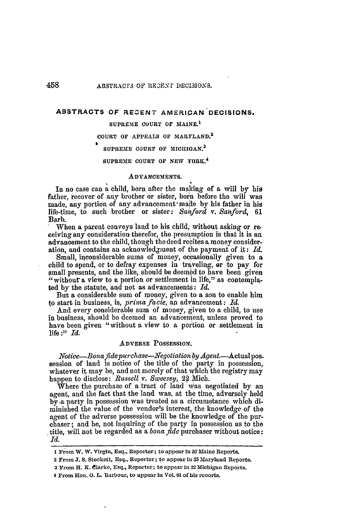# **ABSTRACTS OF REOENT AMERICAN DECISIONS.**

## **SUPREME COURT OF** *MAINE.'*

## COURT **OF** APPEALS **OF** MARYLAND. <sup>2</sup>

# SUPREME COURT OF MICHIGAN.<sup>3</sup>

### **SUPREME COURT** OF **NEW YORK. <sup>4</sup>**

## **ADVANCEMENTS.**

**In** no case can **a** child, born after the making of a will **by** his father, recover of any brother or sister, born before the will was made, any portion of any advancement- made **by** his father in his life-time, to such brother or sister: *Sanford v. Sanford*, 61 Barb.

When a parent conveys land to his child; without asking or **re**ceiving any consideration- therefor, the presumption is that it is an advancement to the child, though the deed recites **a** money consideration, and contains an acknowledgment of the payment of it: *Id.*

Small, inconsiderable sums of money, occasionally given to a child to spend, or to defray expenses in traveling, er to pay for small presents, and the like, should be deemed to have been given "without a view to **a** portion or settlement in life," as contemplated **by** the statute, **and** not as advancements: *Id.*

But a considerable sum of money, given to **a** son to enable him to start in business, is, *prima facie,* an advancement: *Id.*

And every considerable sum of money, given to a child, to use **in** business, should be deemed an advancement, unless proved to have been given "without a view to a portion or settlement in life:" *Id.*

# ADVERSE POSSESSION.

 $Notice$ -Bona fidepurchase--Negotiation by Agent.-Actual possession of land is notice of the title of the party in possession, whatever it may be, and not merely of that which the registry may happen to disclose: *Russell v. Sweezey,* 22 Mich.

Where the purchase of a tract of land was negotiated by an agent, and the fact that the land was. at **the** time, adversely held by-a party in possession was treated as a circumstance which diminished the value of the vendor's interest, !the knowledge of the agent of the adverse possession will be the knowledge of the purchaser; and he, not inquiring of the party in possession as to the title, will not be regarded as a *bona* **fide** purchaser without notice: *Id.*

458

<sup>1</sup> From W. W. Virgin, Esq., Reporter; to appear in 59 Maine Reports.

**<sup>2</sup> From J. S. Stokett, Esq., Reporter; to appear in 35 M11aryland Reports.**

**<sup>3</sup> From H. K. Clarke, Esq., Reporter; to appear in** *22* **Michigan Reports.**

<sup>4</sup> From Hon. O. L. Barbour, to appear in Vol. 61 of his revorts.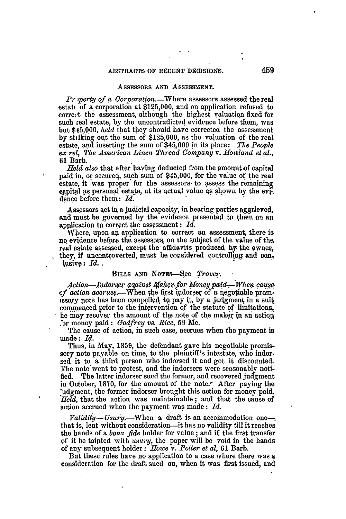#### **ASSESSORS AND ASSESSMENT.**

*Pr iperty of a Corporation.*—Where assessors assessed the real estatt of a corporation at \$125,000, and on application refused to correvt the assessment, although the highest valuation fixed for such real estate, by the uncontradicted evidence before them, was but \$15,000, *held* that they should have corrected the assessment by stiking **out** the sum of \$125,000, as the valuation of the real estate, and inserting the sum of \$45,000 in its place: *The People ex rel, The American Linen Thread Company v. Howland ef al.,* 61 Barb.

**Held** *also* that after having deducted fiom the amountof capital paid in, or secured, such sum of \$45,000, for the value of the real estate, it was proper for the assessors- to assess the remaining capital as personal estate, at its actual value as shown by the evideuce before them: *Id.*

Assessors act in a judicial capacity, in hearing parties aggrieved, and must be governed by the evidence presented to them **on** au application to correct the assessment: *Id.* 

Where, upon au application to correct an assessment, there is no evidence before the assessors, on the subject of the value of the real estate assessed, except the affidavits produced by the owner, they, if uncontroverted, must he considered controlling and con $l$ usive:  $Id.$ .

# BILLS AND NOTES-See *Trover*.

Action-*--Indorser against Maker for Money paid*---*When cause cf action accrues.*—When the first indorser of a negotiable promissory note has been compelled to pay it, by a judgment in a suit commenced prior to the intervention of the statute of limitations, he may recover the amount of the note of the maker in an action :r money paid: *Godfrey vs. Bice,* **59** Me.

The cause of action, in such case, accrues when the payment is made: *Id.*

Thus, in May, 1859, the defendant gave his negotiable promissory note payable on time, to the plaintiff's intestate, who indorsed it to a third person who indorsed it and got it discounted. The note'went to protest, and the indorsers were seasonably notified. The latter indorser sued the former, and recovered judgment in October, 1870, for the amount of the note.- After paying the :udgment, the former indorser brought this action for money paid. *Held*, that the action was maintainable; and that the cause of action accrued when the payment was made: *Id.*

 $\emph{Valiidity—}$  Usury.—When a draft is an accommodation one--. that is, lent without consideration-it has no validity till it reaches the bands of a *bona fide* holder for value; and if the first transfer of it be tainted with *usury,* the paper will be void in the hands of any subsequent holder: *Howe v. Potter et al,* 61 Barb.

But these rules have no application to a case where there was a consideration for the draft sued on, when it was first issued, and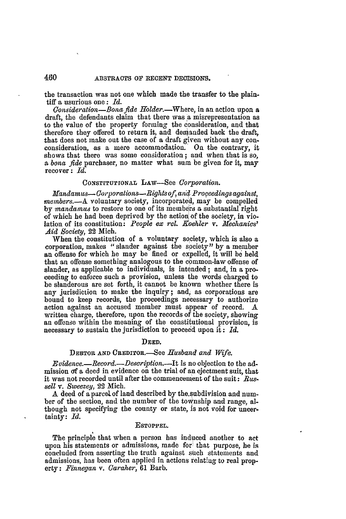the transaction was not one which made the transfer to the plaintiff a usurious one: *Id.*

*Consideration-Bonafide Holder.-Where,* in an action upon a draft, the defendants claim that there was a misrepresentation as to the value of the property forming the consideration, and that therefore they offered to return it, and demanded back the draft, that does not make out the case of a draft given without any conconsideration, as a mere accommodation. On the contrary, it shows that there was some consideration; and when that is so, *a bona fide* purchaser, no matter what sum be given for it, may recover: *Id.*

## CONSTITUTIONAL LAw-See *Corporation.*

*Mandamus- Corporations--Rights of, and Proceedings against, members.-A* voluntary society, incorporated, may be compelled by *mandamus* to restore to one of its members a substantial right of which he had been deprived by the action of the society, in violation of its constitution: People ex rel. Koehler v. Mechanics' *Aid Society,* 22 Mich.

When the constitution of a voluntary society, which is also a corporation, makes "slander against the society" by a member an offense for which he may be fined or expelled, it will be held that an offense something analogous to the common-law offense of slander, as applicable to individuals, is intended; and, in a proceeding to enforce such **a** provision, unless the words charged to be slanderous are set forth, it cannot be known whether there is any jurisdiction to make the inquiry; and, as corporations are bound to keep records, the proceedings necessary to authorize action against an accused member must appear of record. A written charge, therefore, upon the records of the society, showing an offense within the meaning of the constitutional provision, is necessary to sustain the jurisdiction to proceed upon it: *Id.*

#### **DEED.**

#### **DEBTOR AND CREDITOR--See** *Husband and Wife.*

*Evidence.-Record.-Description.-It* is no objection to the admission **of a** deed in evidence on the trial of an ejectment suit, that it was not recorded until after the commencenent of the suit: *Bussell v. Sweezey,* 22 Mich.

A deed of a parcel of land described by the.subdivision and number of the section, and the number of the township and range, although not specifying the county or state, is not void for uncertainty: *Id.*

#### **ESTOPPEL.**

The principle that when a person has induced another to act upon his statements or admissions, made fori that purpose, he is concluded from asserting the truth against such statements and admissions, has been often applied in actions relating to real property: *Finnegan v. Caraher,* 61 Barb.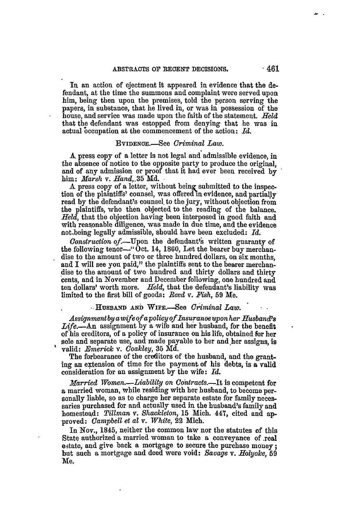In an action of ejectment it appeared in evidence that the defendant, at the time the summons and complaint were served upon him, being then upon the premises, told the person serving the papers, in substance, that he lived in, or was in possession of the house, and service was made upon the faith of the statement. *Held* that the defendant was estopped from denying that he was in actual ccupation at the commencement of the action: *Id.*

## EVIDENCE.-See *Criminal Law.*

*A* press copy of a letter is not legal and admissible evidence, in the absence of notice to the opposite party to produce the original, and of any admission or proof that it had ever been received by him: *Marsh* v. *Hand,.35* **Md.**

A press copy of a letter, without being submitted to the inspection of the plaintiffs' counsel, was offered in evidence, and partially read by the defendant's counsel to the jury, without objection from the plaintiffs, who then objected to the reading of the balance. *Held,* that the objection having been interposed in good faith and with reasonable diligence, was made in due time, and the evidence aot.being legally admissible, should have been excluded: *Id.*

*Construction of.*--Upon the defendant's written guaranty of the following tenor-" Oct. 14, 1860, Let the bearer buy merchandise to the amount of two or three hundred dollars, on six months, and I will see you paid," the plaintiffs sent to the bearer merchandise to the amount of two hundred and thirty dollars and thirty cents, and in November and December following, one hundred and ten dollars' worth more. *Bleld,* that the defendant's liability was limited to the first bill of goods: *Reed v. Fish*, 59 Me.

# - **HUSBAIND AND** WIE.--See *Criminal Law.*

*Assignment by a wife fa policy of Insuranoe upon her Husband's*  $Life. - An$  assignment by a wife and her husband, for the benefit of his creditors, of a policy of insurance on his life, obtained for her sole and separate use, and made payable to her and her assigns, is valid: *Emerick v. Coakley,* 35 **Md.**

The forbearance of the creditors of the husband, and the granting an extension of time for the payment of his debts, is a valid consideration for an assignment by the wife:  $Id$ .

*Married Women.-Liability on Codracts.-It* is competent for **a** married woman, while residing with her husband, to become personally liable, so as to charge her separate estate for family necessaries purchased for and actually used in the husband's family and homestead: *Tillman* v. *Shackleton,* 15 Mich. 447, cited and approved: *Campbell et al* v. *White,* 22 Mich.

In Nov., 1845, neither the common law nor the statutes of this State authorized a married woman to take a conveyance of real estate, and give back a mortgage to secure the purchase money; but such a mortgage and deed were void: *Savage v. Holyoke,* **<sup>59</sup>** Me.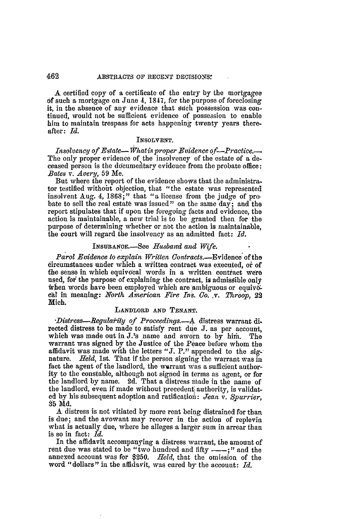A certified copy of a certificate of the entry **by** the mortgagee of such **a** mortgage on June 4, **1847,** for the purpose of foreclosing it, in the absence of any evidence that such possession was continued, would not be sufficient evidence of possession to enable him to maintain trespass for acts happening twenty years thereafter: *Id.*

### **INSOLVENT.**

*Insolvency of Estate- What is proper Evidence of-Practice.-* The only proper evidence of the insolvency of the estate of a deceased person is the ducumentary evidence from the probate office: *Bates v. Avery,* 59 Me.

But where the report of the evidence shows that the administrator testified without objection, that "the estate was represented insolvent Aug. 4, 1868;" that "a license from the judge of probate to sell the real estate was issued" on the same day; and the report stipulates that if upon the foregoing facts and evidence, the action is maintainable, a new trial is to be granted then for the purpose of determining whether or not the action is maintainable, the court will regard the insolvency as an admitted fact: *Id.*

### **INSUBANO.-See** *Husbaird and Wife.*

*Parol Evidence to explain Written Contracts.-Evidence* of the dircumstances under which a witten contract was executed, oi of the sense in which equivocal words in a written contract were used, for the purpose of explaining the contract, is admissible only when words have been employed which are ambiguous or equivocal in meaning: *North American Fire Ins. Co. v. Throop*, 22 Mich.

## **LANDLORD AND** *TENANT.*

*•Distress-Regulai-ity of Proceedings.-A* distress warrant directed distress to be made to satisfy rent due J. as per account, which was made out in J.'s name and sworn to by him. The warrant was signed by the Justice of the Peace before whom the affidavit was made with the letters *"J. P."* appended to the signature. *Held,* 1st. That if the person signing the warrant was in fact the agent of the landlord, the warrant was a sufficient authority to the constable, although not signed in terms as agent, or for the landlord by name. 2d. That a distress made in the name of the landlord, even if made without precedent authority, is validated by his subsequent adoption and ratification: *Jean v. Spurrier,* **• 5 Md.**

**A** distress is not vitiated by more rent being distrained for than is due; and the avowant may recover in the action of replevin what is actually due, where he alleges a larger sum in arrear than is so in fact: *Id.*

In the affidavit accompanying a distress warrant, the amount of rent due was stated to be "two hundred and fifty --;" and the annexed account was for **\$250.** *Held,* that the omission of the word "dollars" in the affidavit, was cured **by** the account: *Id.*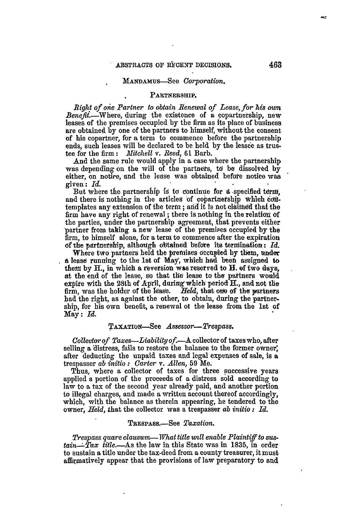#### 'MANDAMUS--See *Corporation.*

#### PARTNERSHIP.

*Right of* one *Partner to obtain Renewal of Lease, for his own*  $Benefit$ . Where, during the existence of a copartnership, new leases of the premises occupied by the firm as its place of business are obtained by one of the partners to himself, without the consent of his copartner, for a term to commence before the partnership ends, such leases will be declared to be held by the lessee as trustee for the firm: *Mitchell v. Beed,* **61** Barb.

And the same rule would apply in a case where the partnership was depending on the will of the partners, to be dissolved **by** either, on notice, and the lease was obtained before notice was given: *Id.*

But Where the partnership **is to** continue for **a** .specified tdrip, and there is nothing in the articles of copartnership which contemplates any extension of the term; and it is not claimed that the firm have any right of renewal ; there is nothing in the relatiom of the parties, under the partnership agreement, that prevents either partner from taking **a** new lease of the premises occupied by the firm, to himself alone, for a term to commence after the expiration of the partnetship, although obtained before its termination: *Id.*

Where two partners held the premises 6ccupied **by** them, under a lease running to the 1st of **May,** which **had** beeh assigned to them by H., in which **a** r'eversion was reserved to H. **of** two clays, at the end of the lease, so that the lease to the partners would expire with the 28th of April, during which period **H.,** and not the firm, was the holder **of** the lease. *Held,* that ove **of** the partners **bad** the right, as against the other, to obtain, during the partnership, for his own benefit, a renewal ot the lease from the 1st of **May:** *Id.*

#### TAXATION-See *Assessor-Trespass.*

*(ollectorof Taxes-Liability of.-A* collector of taxes who, after selling a distress, fails to restore the balance to the former owner; after deducting the unpaid taxes and legal expenses of sale, is a trespasser *ab initio : Carter* v. *Allen,* 59 Me.

Thus, where a collector of taxes for three successive years applied a portion of the proceeds of a distress sold according to law to a tax of the second year already paid, and another portion to illegal charges, and made a written account thereof accordingly, which, with the balance as therein appearing, he tendered to the owner, *Held,* that the collector was a trespasser *ab initio : Id.*

#### TREspAss.-See *Taxation.*

*Trespass quare clausum-What title wtll enable Plaintif to sustain--Tax title.-As* the law in this State was in 1835, in order to sustain a title under the tax-deed from a county treasurer, it must affirmatively appear that the provisions of law preparatory to and

463